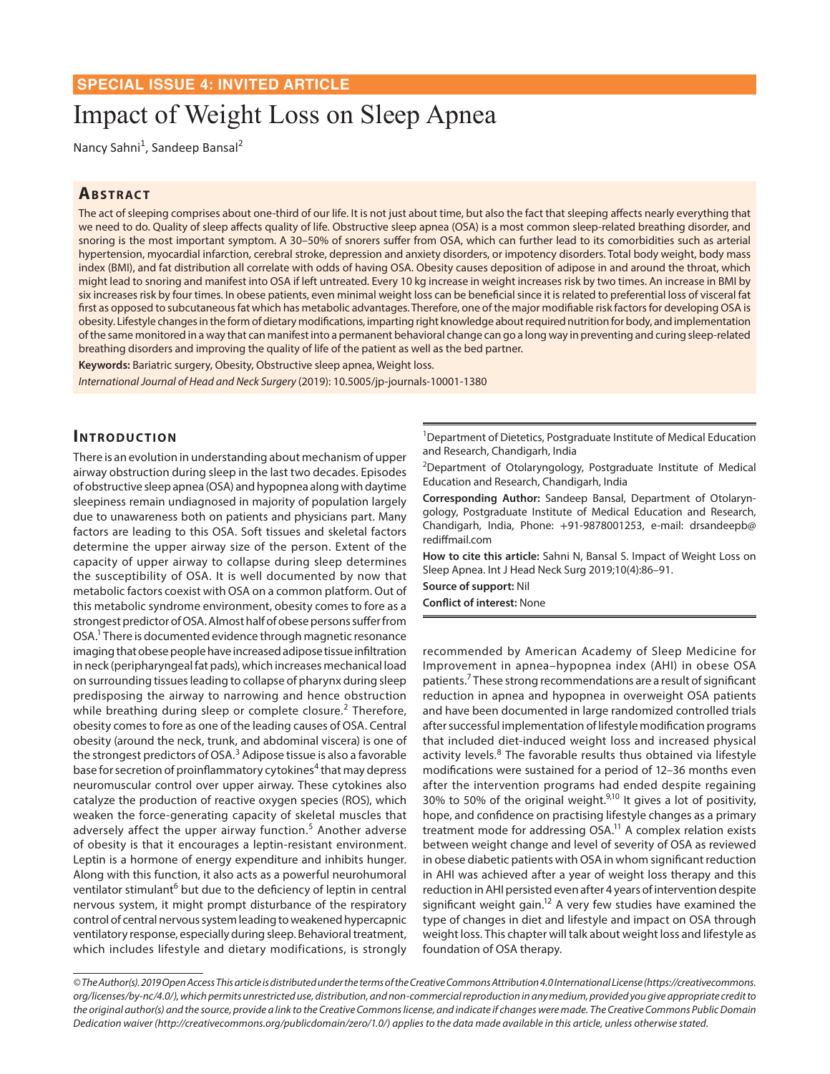# Impact of Weight Loss on Sleep Apnea

Nancy Sahni<sup>1</sup>, Sandeep Bansal<sup>2</sup>

# **ABSTRACT**

The act of sleeping comprises about one-third of our life. It is not just about time, but also the fact that sleeping affects nearly everything that we need to do. Quality of sleep affects quality of life. Obstructive sleep apnea (OSA) is a most common sleep-related breathing disorder, and snoring is the most important symptom. A 30–50% of snorers suffer from OSA, which can further lead to its comorbidities such as arterial hypertension, myocardial infarction, cerebral stroke, depression and anxiety disorders, or impotency disorders. Total body weight, body mass index (BMI), and fat distribution all correlate with odds of having OSA. Obesity causes deposition of adipose in and around the throat, which might lead to snoring and manifest into OSA if left untreated. Every 10 kg increase in weight increases risk by two times. An increase in BMI by six increases risk by four times. In obese patients, even minimal weight loss can be beneficial since it is related to preferential loss of visceral fat first as opposed to subcutaneous fat which has metabolic advantages. Therefore, one of the major modifiable risk factors for developing OSA is obesity. Lifestyle changes in the form of dietary modifications, imparting right knowledge about required nutrition for body, and implementation of the same monitored in a way that can manifest into a permanent behavioral change can go a long way in preventing and curing sleep-related breathing disorders and improving the quality of life of the patient as well as the bed partner.

**Keywords:** Bariatric surgery, Obesity, Obstructive sleep apnea, Weight loss.

*International Journal of Head and Neck Surgery* (2019): 10.5005/jp-journals-10001-1380

# **INTRODUCTION**

There is an evolution in understanding about mechanism of upper airway obstruction during sleep in the last two decades. Episodes of obstructive sleep apnea (OSA) and hypopnea along with daytime sleepiness remain undiagnosed in majority of population largely due to unawareness both on patients and physicians part. Many factors are leading to this OSA. Soft tissues and skeletal factors determine the upper airway size of the person. Extent of the capacity of upper airway to collapse during sleep determines the susceptibility of OSA. It is well documented by now that metabolic factors coexist with OSA on a common platform. Out of this metabolic syndrome environment, obesity comes to fore as a strongest predictor of OSA. Almost half of obese persons suffer from OSA.<sup>1</sup> There is documented evidence through magnetic resonance imaging that obese people have increased adipose tissue infiltration in neck (peripharyngeal fat pads), which increases mechanical load on surrounding tissues leading to collapse of pharynx during sleep predisposing the airway to narrowing and hence obstruction while breathing during sleep or complete closure.<sup>2</sup> Therefore, obesity comes to fore as one of the leading causes of OSA. Central obesity (around the neck, trunk, and abdominal viscera) is one of the strongest predictors of OSA.<sup>3</sup> Adipose tissue is also a favorable base for secretion of proinflammatory cytokines<sup>4</sup> that may depress neuromuscular control over upper airway. These cytokines also catalyze the production of reactive oxygen species (ROS), which weaken the force-generating capacity of skeletal muscles that adversely affect the upper airway function.<sup>5</sup> Another adverse of obesity is that it encourages a leptin-resistant environment. Leptin is a hormone of energy expenditure and inhibits hunger. Along with this function, it also acts as a powerful neurohumoral ventilator stimulant<sup>6</sup> but due to the deficiency of leptin in central nervous system, it might prompt disturbance of the respiratory control of central nervous system leading to weakened hypercapnic ventilatory response, especially during sleep. Behavioral treatment, which includes lifestyle and dietary modifications, is strongly

<sup>1</sup>Department of Dietetics, Postgraduate Institute of Medical Education and Research, Chandigarh, India

<sup>2</sup>Department of Otolaryngology, Postgraduate Institute of Medical Education and Research, Chandigarh, India

**Corresponding Author:** Sandeep Bansal, Department of Otolaryngology, Postgraduate Institute of Medical Education and Research, Chandigarh, India, Phone: +91-9878001253, e-mail: drsandeepb@ rediffmail.com

**How to cite this article:** Sahni N, Bansal S. Impact of Weight Loss on Sleep Apnea. Int J Head Neck Surg 2019;10(4):86–91.

**Source of support:** Nil **Conflict of interest:** None

recommended by American Academy of Sleep Medicine for Improvement in apnea–hypopnea index (AHI) in obese OSA patients.<sup>7</sup> These strong recommendations are a result of significant reduction in apnea and hypopnea in overweight OSA patients and have been documented in large randomized controlled trials after successful implementation of lifestyle modification programs that included diet-induced weight loss and increased physical activity levels.<sup>8</sup> The favorable results thus obtained via lifestyle modifications were sustained for a period of 12–36 months even after the intervention programs had ended despite regaining 30% to 50% of the original weight. $9,10$  It gives a lot of positivity, hope, and confidence on practising lifestyle changes as a primary treatment mode for addressing OSA.11 A complex relation exists between weight change and level of severity of OSA as reviewed in obese diabetic patients with OSA in whom significant reduction in AHI was achieved after a year of weight loss therapy and this reduction in AHI persisted even after 4 years of intervention despite significant weight gain.<sup>12</sup> A very few studies have examined the type of changes in diet and lifestyle and impact on OSA through weight loss. This chapter will talk about weight loss and lifestyle as foundation of OSA therapy.

*<sup>©</sup> The Author(s). 2019 Open Access This article is distributed under the terms of the Creative Commons Attribution 4.0 International License (https://creativecommons. org/licenses/by-nc/4.0/), which permits unrestricted use, distribution, and non-commercial reproduction in any medium, provided you give appropriate credit to the original author(s) and the source, provide a link to the Creative Commons license, and indicate if changes were made. The Creative Commons Public Domain Dedication waiver (http://creativecommons.org/publicdomain/zero/1.0/) applies to the data made available in this article, unless otherwise stated.*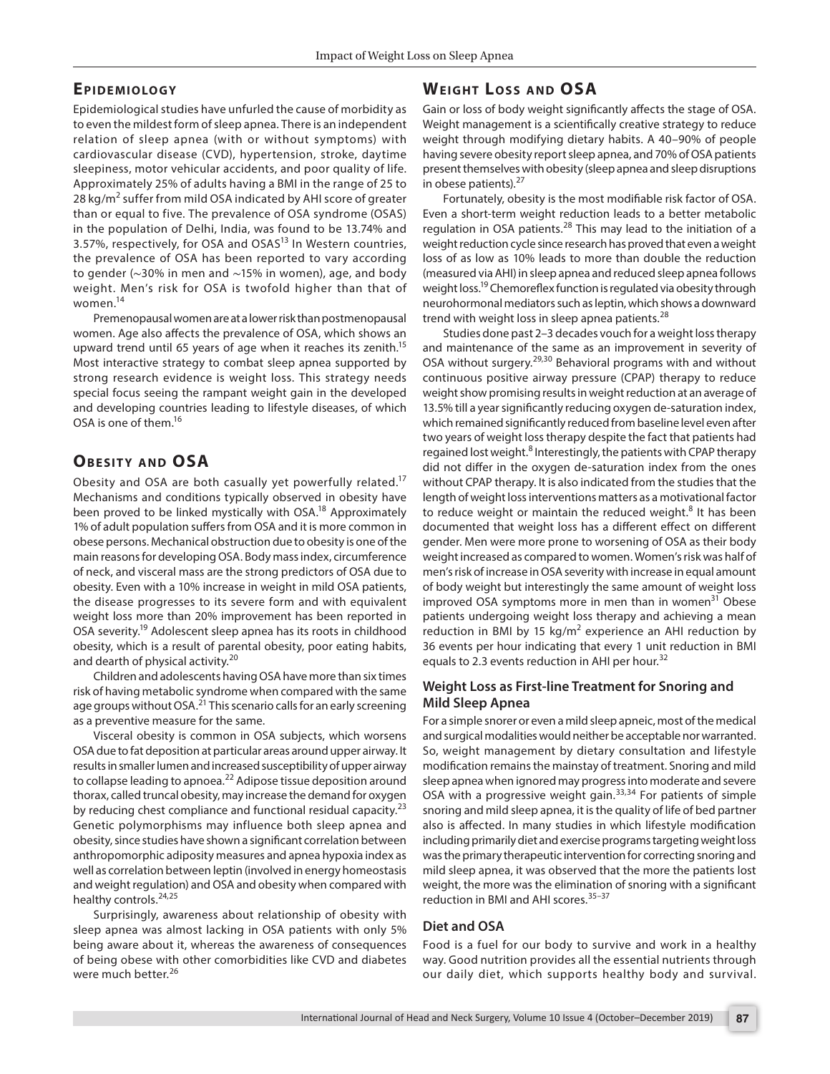# **Epidemio lo g y**

Epidemiological studies have unfurled the cause of morbidity as to even the mildest form of sleep apnea. There is an independent relation of sleep apnea (with or without symptoms) with cardiovascular disease (CVD), hypertension, stroke, daytime sleepiness, motor vehicular accidents, and poor quality of life. Approximately 25% of adults having a BMI in the range of 25 to 28 kg/m<sup>2</sup> suffer from mild OSA indicated by AHI score of greater than or equal to five. The prevalence of OSA syndrome (OSAS) in the population of Delhi, India, was found to be 13.74% and 3.57%, respectively, for OSA and OSAS<sup>13</sup> In Western countries, the prevalence of OSA has been reported to vary according to gender (∼30% in men and ∼15% in women), age, and body weight. Men's risk for OSA is twofold higher than that of women.14

Premenopausal women are at a lower risk than postmenopausal women. Age also affects the prevalence of OSA, which shows an upward trend until 65 years of age when it reaches its zenith.<sup>15</sup> Most interactive strategy to combat sleep apnea supported by strong research evidence is weight loss. This strategy needs special focus seeing the rampant weight gain in the developed and developing countries leading to lifestyle diseases, of which OSA is one of them.16

# **OBESITY AND OSA**

Obesity and OSA are both casually yet powerfully related.<sup>17</sup> Mechanisms and conditions typically observed in obesity have been proved to be linked mystically with OSA.<sup>18</sup> Approximately 1% of adult population suffers from OSA and it is more common in obese persons. Mechanical obstruction due to obesity is one of the main reasons for developing OSA. Body mass index, circumference of neck, and visceral mass are the strong predictors of OSA due to obesity. Even with a 10% increase in weight in mild OSA patients, the disease progresses to its severe form and with equivalent weight loss more than 20% improvement has been reported in OSA severity.<sup>19</sup> Adolescent sleep apnea has its roots in childhood obesity, which is a result of parental obesity, poor eating habits, and dearth of physical activity.<sup>20</sup>

Children and adolescents having OSA have more than six times risk of having metabolic syndrome when compared with the same age groups without OSA.<sup>21</sup> This scenario calls for an early screening as a preventive measure for the same.

Visceral obesity is common in OSA subjects, which worsens OSA due to fat deposition at particular areas around upper airway. It results in smaller lumen and increased susceptibility of upper airway to collapse leading to apnoea.<sup>22</sup> Adipose tissue deposition around thorax, called truncal obesity, may increase the demand for oxygen by reducing chest compliance and functional residual capacity. $2^3$ Genetic polymorphisms may influence both sleep apnea and obesity, since studies have shown a significant correlation between anthropomorphic adiposity measures and apnea hypoxia index as well as correlation between leptin (involved in energy homeostasis and weight regulation) and OSA and obesity when compared with healthy controls.<sup>24,25</sup>

Surprisingly, awareness about relationship of obesity with sleep apnea was almost lacking in OSA patients with only 5% being aware about it, whereas the awareness of consequences of being obese with other comorbidities like CVD and diabetes were much better.<sup>26</sup>

# **WEIGHT LOSS AND OSA**

Gain or loss of body weight significantly affects the stage of OSA. Weight management is a scientifically creative strategy to reduce weight through modifying dietary habits. A 40–90% of people having severe obesity report sleep apnea, and 70% of OSA patients present themselves with obesity (sleep apnea and sleep disruptions in obese patients). $27$ 

Fortunately, obesity is the most modifiable risk factor of OSA. Even a short-term weight reduction leads to a better metabolic regulation in OSA patients.<sup>28</sup> This may lead to the initiation of a weight reduction cycle since research has proved that even a weight loss of as low as 10% leads to more than double the reduction (measured via AHI) in sleep apnea and reduced sleep apnea follows weight loss.<sup>19</sup> Chemoreflex function is regulated via obesity through neurohormonal mediators such as leptin, which shows a downward trend with weight loss in sleep apnea patients. $^{28}$ 

Studies done past 2–3 decades vouch for a weight loss therapy and maintenance of the same as an improvement in severity of OSA without surgery.<sup>29,30</sup> Behavioral programs with and without continuous positive airway pressure (CPAP) therapy to reduce weight show promising results in weight reduction at an average of 13.5% till a year significantly reducing oxygen de-saturation index, which remained significantly reduced from baseline level even after two years of weight loss therapy despite the fact that patients had regained lost weight.<sup>8</sup> Interestingly, the patients with CPAP therapy did not differ in the oxygen de-saturation index from the ones without CPAP therapy. It is also indicated from the studies that the length of weight loss interventions matters as a motivational factor to reduce weight or maintain the reduced weight.<sup>8</sup> It has been documented that weight loss has a different effect on different gender. Men were more prone to worsening of OSA as their body weight increased as compared to women. Women's risk was half of men's risk of increase in OSA severity with increase in equal amount of body weight but interestingly the same amount of weight loss improved OSA symptoms more in men than in women $31$  Obese patients undergoing weight loss therapy and achieving a mean reduction in BMI by 15  $\text{kg/m}^2$  experience an AHI reduction by 36 events per hour indicating that every 1 unit reduction in BMI equals to 2.3 events reduction in AHI per hour.<sup>32</sup>

# **Weight Loss as First-line Treatment for Snoring and Mild Sleep Apnea**

For a simple snorer or even a mild sleep apneic, most of the medical and surgical modalities would neither be acceptable nor warranted. So, weight management by dietary consultation and lifestyle modification remains the mainstay of treatment. Snoring and mild sleep apnea when ignored may progress into moderate and severe OSA with a progressive weight gain. $33,34$  For patients of simple snoring and mild sleep apnea, it is the quality of life of bed partner also is affected. In many studies in which lifestyle modification including primarily diet and exercise programs targeting weight loss was the primary therapeutic intervention for correcting snoring and mild sleep apnea, it was observed that the more the patients lost weight, the more was the elimination of snoring with a significant reduction in BMI and AHI scores.<sup>35-37</sup>

## **Diet and OSA**

Food is a fuel for our body to survive and work in a healthy way. Good nutrition provides all the essential nutrients through our daily diet, which supports healthy body and survival.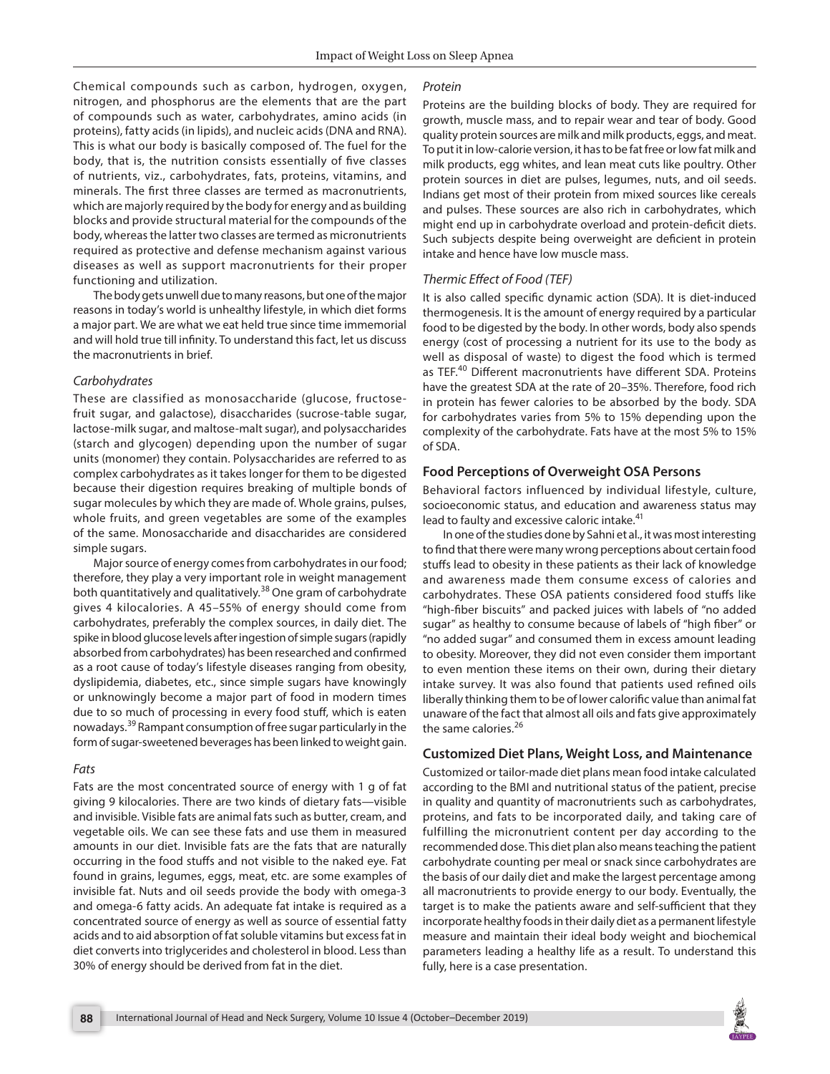Chemical compounds such as carbon, hydrogen, oxygen, nitrogen, and phosphorus are the elements that are the part of compounds such as water, carbohydrates, amino acids (in proteins), fatty acids (in lipids), and nucleic acids (DNA and RNA). This is what our body is basically composed of. The fuel for the body, that is, the nutrition consists essentially of five classes of nutrients, viz., carbohydrates, fats, proteins, vitamins, and minerals. The first three classes are termed as macronutrients, which are majorly required by the body for energy and as building blocks and provide structural material for the compounds of the body, whereas the latter two classes are termed as micronutrients required as protective and defense mechanism against various diseases as well as support macronutrients for their proper functioning and utilization.

The body gets unwell due to many reasons, but one of the major reasons in today's world is unhealthy lifestyle, in which diet forms a major part. We are what we eat held true since time immemorial and will hold true till infinity. To understand this fact, let us discuss the macronutrients in brief.

### *Carbohydrates*

These are classified as monosaccharide (glucose, fructosefruit sugar, and galactose), disaccharides (sucrose-table sugar, lactose-milk sugar, and maltose-malt sugar), and polysaccharides (starch and glycogen) depending upon the number of sugar units (monomer) they contain. Polysaccharides are referred to as complex carbohydrates as it takes longer for them to be digested because their digestion requires breaking of multiple bonds of sugar molecules by which they are made of. Whole grains, pulses, whole fruits, and green vegetables are some of the examples of the same. Monosaccharide and disaccharides are considered simple sugars.

Major source of energy comes from carbohydrates in our food; therefore, they play a very important role in weight management both quantitatively and qualitatively.<sup>38</sup> One gram of carbohydrate gives 4 kilocalories. A 45–55% of energy should come from carbohydrates, preferably the complex sources, in daily diet. The spike in blood glucose levels after ingestion of simple sugars (rapidly absorbed from carbohydrates) has been researched and confirmed as a root cause of today's lifestyle diseases ranging from obesity, dyslipidemia, diabetes, etc., since simple sugars have knowingly or unknowingly become a major part of food in modern times due to so much of processing in every food stuff, which is eaten nowadays.39 Rampant consumption of free sugar particularly in the form of sugar-sweetened beverages has been linked to weight gain.

#### *Fats*

Fats are the most concentrated source of energy with 1 g of fat giving 9 kilocalories. There are two kinds of dietary fats—visible and invisible. Visible fats are animal fats such as butter, cream, and vegetable oils. We can see these fats and use them in measured amounts in our diet. Invisible fats are the fats that are naturally occurring in the food stuffs and not visible to the naked eye. Fat found in grains, legumes, eggs, meat, etc. are some examples of invisible fat. Nuts and oil seeds provide the body with omega-3 and omega-6 fatty acids. An adequate fat intake is required as a concentrated source of energy as well as source of essential fatty acids and to aid absorption of fat soluble vitamins but excess fat in diet converts into triglycerides and cholesterol in blood. Less than 30% of energy should be derived from fat in the diet.

### *Protein*

Proteins are the building blocks of body. They are required for growth, muscle mass, and to repair wear and tear of body. Good quality protein sources are milk and milk products, eggs, and meat. To put it in low-calorie version, it has to be fat free or low fat milk and milk products, egg whites, and lean meat cuts like poultry. Other protein sources in diet are pulses, legumes, nuts, and oil seeds. Indians get most of their protein from mixed sources like cereals and pulses. These sources are also rich in carbohydrates, which might end up in carbohydrate overload and protein-deficit diets. Such subjects despite being overweight are deficient in protein intake and hence have low muscle mass.

### *Thermic Effect of Food (TEF)*

It is also called specific dynamic action (SDA). It is diet-induced thermogenesis. It is the amount of energy required by a particular food to be digested by the body. In other words, body also spends energy (cost of processing a nutrient for its use to the body as well as disposal of waste) to digest the food which is termed as TEF.<sup>40</sup> Different macronutrients have different SDA. Proteins have the greatest SDA at the rate of 20–35%. Therefore, food rich in protein has fewer calories to be absorbed by the body. SDA for carbohydrates varies from 5% to 15% depending upon the complexity of the carbohydrate. Fats have at the most 5% to 15% of SDA.

### **Food Perceptions of Overweight OSA Persons**

Behavioral factors influenced by individual lifestyle, culture, socioeconomic status, and education and awareness status may lead to faulty and excessive caloric intake.<sup>41</sup>

In one of the studies done by Sahni et al., it was most interesting to find that there were many wrong perceptions about certain food stuffs lead to obesity in these patients as their lack of knowledge and awareness made them consume excess of calories and carbohydrates. These OSA patients considered food stuffs like "high-fiber biscuits" and packed juices with labels of "no added sugar" as healthy to consume because of labels of "high fiber" or "no added sugar" and consumed them in excess amount leading to obesity. Moreover, they did not even consider them important to even mention these items on their own, during their dietary intake survey. It was also found that patients used refined oils liberally thinking them to be of lower calorific value than animal fat unaware of the fact that almost all oils and fats give approximately the same calories.<sup>26</sup>

### **Customized Diet Plans, Weight Loss, and Maintenance**

Customized or tailor-made diet plans mean food intake calculated according to the BMI and nutritional status of the patient, precise in quality and quantity of macronutrients such as carbohydrates, proteins, and fats to be incorporated daily, and taking care of fulfilling the micronutrient content per day according to the recommended dose. This diet plan also means teaching the patient carbohydrate counting per meal or snack since carbohydrates are the basis of our daily diet and make the largest percentage among all macronutrients to provide energy to our body. Eventually, the target is to make the patients aware and self-sufficient that they incorporate healthy foods in their daily diet as a permanent lifestyle measure and maintain their ideal body weight and biochemical parameters leading a healthy life as a result. To understand this fully, here is a case presentation.

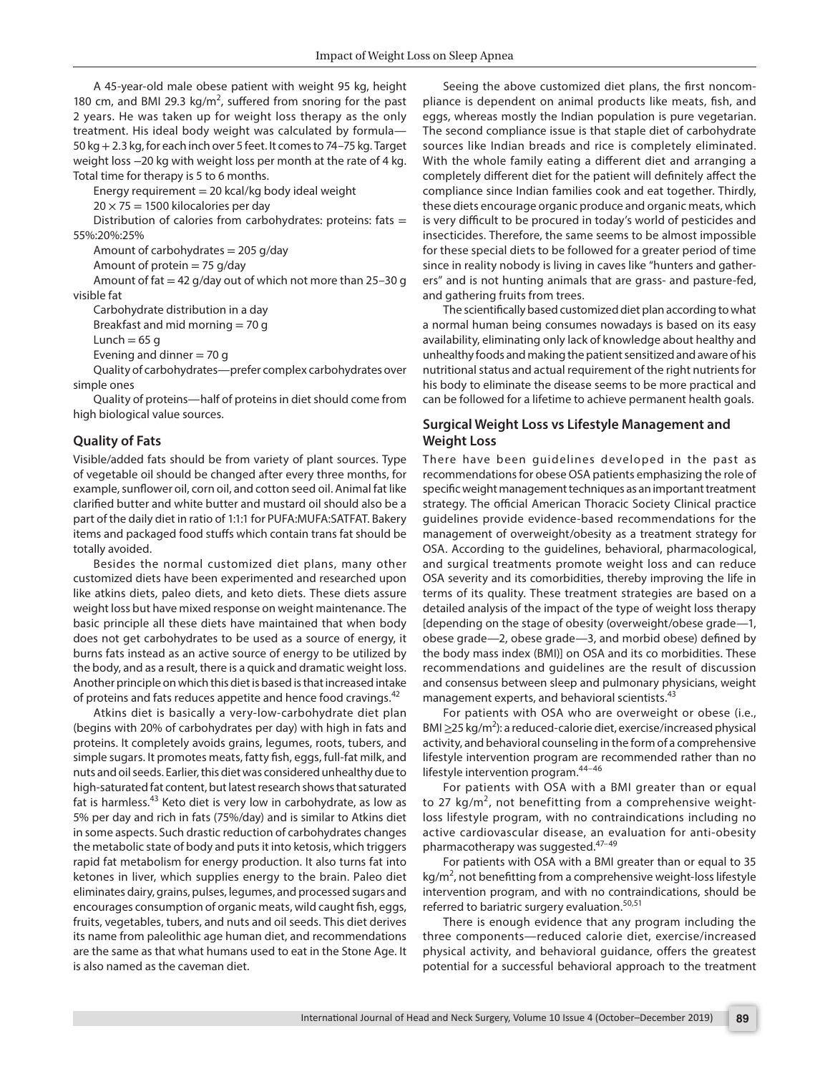A 45-year-old male obese patient with weight 95 kg, height 180 cm, and BMI 29.3  $kg/m^2$ , suffered from snoring for the past 2 years. He was taken up for weight loss therapy as the only treatment. His ideal body weight was calculated by formula— 50 kg + 2.3 kg, for each inch over 5 feet. It comes to 74–75 kg. Target weight loss −20 kg with weight loss per month at the rate of 4 kg. Total time for therapy is 5 to 6 months.

Energy requirement  $= 20$  kcal/kg body ideal weight

 $20 \times 75 = 1500$  kilocalories per day

Distribution of calories from carbohydrates: proteins: fats = 55%:20%:25%

Amount of carbohydrates  $= 205$  g/day

Amount of protein  $= 75$  g/day

Amount of fat  $=$  42 g/day out of which not more than 25-30 g visible fat

Carbohydrate distribution in a day

Breakfast and mid morning  $= 70$  g

Lunch  $= 65$  g

Evening and dinner  $= 70$  g

Quality of carbohydrates—prefer complex carbohydrates over simple ones

Quality of proteins—half of proteins in diet should come from high biological value sources.

# **Quality of Fats**

Visible/added fats should be from variety of plant sources. Type of vegetable oil should be changed after every three months, for example, sunflower oil, corn oil, and cotton seed oil. Animal fat like clarified butter and white butter and mustard oil should also be a part of the daily diet in ratio of 1:1:1 for PUFA:MUFA:SATFAT. Bakery items and packaged food stuffs which contain trans fat should be totally avoided.

Besides the normal customized diet plans, many other customized diets have been experimented and researched upon like atkins diets, paleo diets, and keto diets. These diets assure weight loss but have mixed response on weight maintenance. The basic principle all these diets have maintained that when body does not get carbohydrates to be used as a source of energy, it burns fats instead as an active source of energy to be utilized by the body, and as a result, there is a quick and dramatic weight loss. Another principle on which this diet is based is that increased intake of proteins and fats reduces appetite and hence food cravings.<sup>42</sup>

Atkins diet is basically a very-low-carbohydrate diet plan (begins with 20% of carbohydrates per day) with high in fats and proteins. It completely avoids grains, legumes, roots, tubers, and simple sugars. It promotes meats, fatty fish, eggs, full-fat milk, and nuts and oil seeds. Earlier, this diet was considered unhealthy due to high-saturated fat content, but latest research shows that saturated fat is harmless.<sup>43</sup> Keto diet is very low in carbohydrate, as low as 5% per day and rich in fats (75%/day) and is similar to Atkins diet in some aspects. Such drastic reduction of carbohydrates changes the metabolic state of body and puts it into ketosis, which triggers rapid fat metabolism for energy production. It also turns fat into ketones in liver, which supplies energy to the brain. Paleo diet eliminates dairy, grains, pulses, legumes, and processed sugars and encourages consumption of organic meats, wild caught fish, eggs, fruits, vegetables, tubers, and nuts and oil seeds. This diet derives its name from paleolithic age human diet, and recommendations are the same as that what humans used to eat in the Stone Age. It is also named as the caveman diet.

Seeing the above customized diet plans, the first noncompliance is dependent on animal products like meats, fish, and eggs, whereas mostly the Indian population is pure vegetarian. The second compliance issue is that staple diet of carbohydrate sources like Indian breads and rice is completely eliminated. With the whole family eating a different diet and arranging a completely different diet for the patient will definitely affect the compliance since Indian families cook and eat together. Thirdly, these diets encourage organic produce and organic meats, which is very difficult to be procured in today's world of pesticides and insecticides. Therefore, the same seems to be almost impossible for these special diets to be followed for a greater period of time since in reality nobody is living in caves like "hunters and gatherers" and is not hunting animals that are grass- and pasture-fed, and gathering fruits from trees.

The scientifically based customized diet plan according to what a normal human being consumes nowadays is based on its easy availability, eliminating only lack of knowledge about healthy and unhealthy foods and making the patient sensitized and aware of his nutritional status and actual requirement of the right nutrients for his body to eliminate the disease seems to be more practical and can be followed for a lifetime to achieve permanent health goals.

# **Surgical Weight Loss vs Lifestyle Management and Weight Loss**

There have been guidelines developed in the past as recommendations for obese OSA patients emphasizing the role of specific weight management techniques as an important treatment strategy. The official American Thoracic Society Clinical practice guidelines provide evidence-based recommendations for the management of overweight/obesity as a treatment strategy for OSA. According to the guidelines, behavioral, pharmacological, and surgical treatments promote weight loss and can reduce OSA severity and its comorbidities, thereby improving the life in terms of its quality. These treatment strategies are based on a detailed analysis of the impact of the type of weight loss therapy [depending on the stage of obesity (overweight/obese grade—1, obese grade—2, obese grade—3, and morbid obese) defined by the body mass index (BMI)] on OSA and its co morbidities. These recommendations and guidelines are the result of discussion and consensus between sleep and pulmonary physicians, weight management experts, and behavioral scientists.<sup>43</sup>

For patients with OSA who are overweight or obese (i.e., BMI ≥25 kg/m<sup>2</sup>): a reduced-calorie diet, exercise/increased physical activity, and behavioral counseling in the form of a comprehensive lifestyle intervention program are recommended rather than no lifestyle intervention program.44–46

For patients with OSA with a BMI greater than or equal to 27 kg/m<sup>2</sup>, not benefitting from a comprehensive weightloss lifestyle program, with no contraindications including no active cardiovascular disease, an evaluation for anti-obesity pharmacotherapy was suggested.<sup>47-49</sup>

For patients with OSA with a BMI greater than or equal to 35 kg/m<sup>2</sup>, not benefitting from a comprehensive weight-loss lifestyle intervention program, and with no contraindications, should be referred to bariatric surgery evaluation.<sup>50,51</sup>

There is enough evidence that any program including the three components—reduced calorie diet, exercise/increased physical activity, and behavioral guidance, offers the greatest potential for a successful behavioral approach to the treatment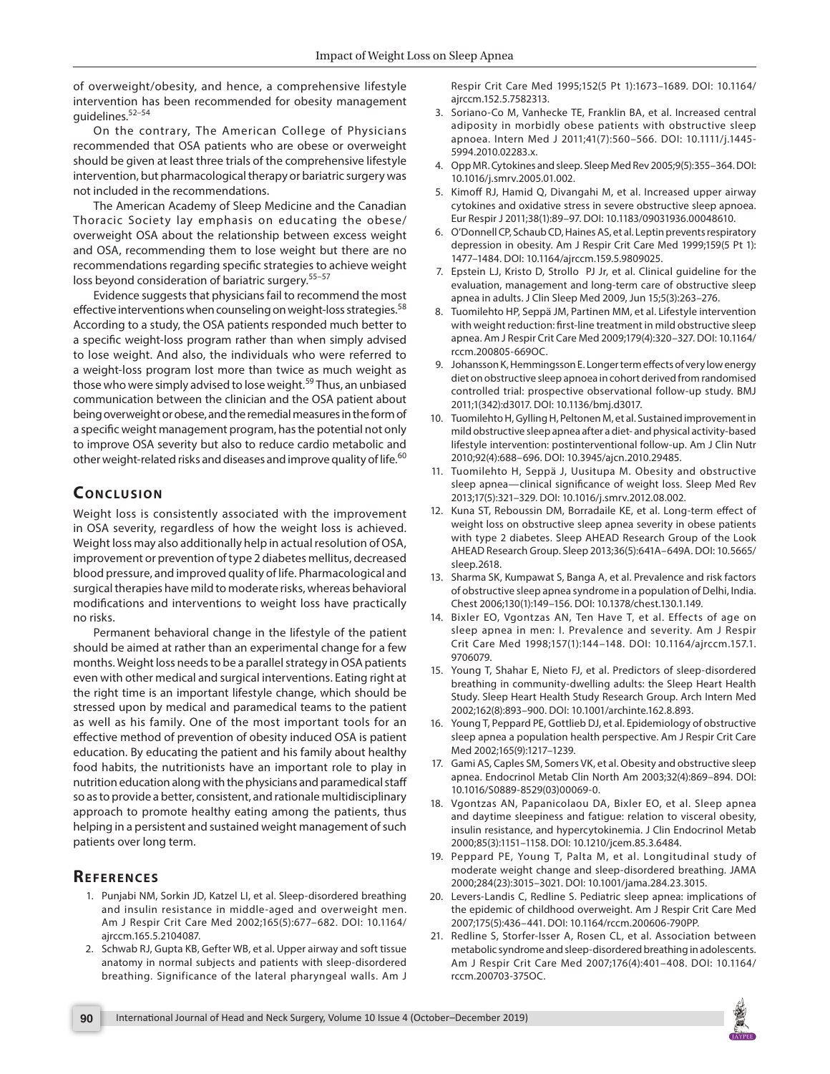of overweight/obesity, and hence, a comprehensive lifestyle intervention has been recommended for obesity management guidelines.52–54

On the contrary, The American College of Physicians recommended that OSA patients who are obese or overweight should be given at least three trials of the comprehensive lifestyle intervention, but pharmacological therapy or bariatric surgery was not included in the recommendations.

The American Academy of Sleep Medicine and the Canadian Thoracic Society lay emphasis on educating the obese/ overweight OSA about the relationship between excess weight and OSA, recommending them to lose weight but there are no recommendations regarding specific strategies to achieve weight loss beyond consideration of bariatric surgery.<sup>55-57</sup>

Evidence suggests that physicians fail to recommend the most effective interventions when counseling on weight-loss strategies.<sup>58</sup> According to a study, the OSA patients responded much better to a specific weight-loss program rather than when simply advised to lose weight. And also, the individuals who were referred to a weight-loss program lost more than twice as much weight as those who were simply advised to lose weight.<sup>59</sup> Thus, an unbiased communication between the clinician and the OSA patient about being overweight or obese, and the remedial measures in the form of a specific weight management program, has the potential not only to improve OSA severity but also to reduce cardio metabolic and other weight-related risks and diseases and improve quality of life.<sup>60</sup>

# **CONCLUSION**

Weight loss is consistently associated with the improvement in OSA severity, regardless of how the weight loss is achieved. Weight loss may also additionally help in actual resolution of OSA, improvement or prevention of type 2 diabetes mellitus, decreased blood pressure, and improved quality of life. Pharmacological and surgical therapies have mild to moderate risks, whereas behavioral modifications and interventions to weight loss have practically no risks.

Permanent behavioral change in the lifestyle of the patient should be aimed at rather than an experimental change for a few months. Weight loss needs to be a parallel strategy in OSA patients even with other medical and surgical interventions. Eating right at the right time is an important lifestyle change, which should be stressed upon by medical and paramedical teams to the patient as well as his family. One of the most important tools for an effective method of prevention of obesity induced OSA is patient education. By educating the patient and his family about healthy food habits, the nutritionists have an important role to play in nutrition education along with the physicians and paramedical staff so as to provide a better, consistent, and rationale multidisciplinary approach to promote healthy eating among the patients, thus helping in a persistent and sustained weight management of such patients over long term.

# **Referen ces**

- 1. Punjabi NM, Sorkin JD, Katzel LI, et al. Sleep-disordered breathing and insulin resistance in middle-aged and overweight men. Am J Respir Crit Care Med 2002;165(5):677–682. DOI: 10.1164/ ajrccm.165.5.2104087.
- 2. Schwab RJ, Gupta KB, Gefter WB, et al. Upper airway and soft tissue anatomy in normal subjects and patients with sleep-disordered breathing. Significance of the lateral pharyngeal walls. Am J

Respir Crit Care Med 1995;152(5 Pt 1):1673–1689. DOI: 10.1164/ ajrccm.152.5.7582313.

- 3. Soriano-Co M, Vanhecke TE, Franklin BA, et al. Increased central adiposity in morbidly obese patients with obstructive sleep apnoea. Intern Med J 2011;41(7):560–566. DOI: 10.1111/j.1445- 5994.2010.02283.x.
- 4. Opp MR. Cytokines and sleep. Sleep Med Rev 2005;9(5):355–364. DOI: 10.1016/j.smrv.2005.01.002.
- Kimoff RJ, Hamid Q, Divangahi M, et al. Increased upper airway cytokines and oxidative stress in severe obstructive sleep apnoea. Eur Respir J 2011;38(1):89–97. DOI: 10.1183/09031936.00048610.
- 6. O'Donnell CP, Schaub CD, Haines AS, et al. Leptin prevents respiratory depression in obesity. Am J Respir Crit Care Med 1999;159(5 Pt 1): 1477–1484. DOI: 10.1164/ajrccm.159.5.9809025.
- 7. Epstein LJ, Kristo D, Strollo PJ Jr, et al. Clinical guideline for the evaluation, management and long-term care of obstructive sleep apnea in adults. J Clin Sleep Med 2009, Jun 15;5(3):263–276.
- 8. Tuomilehto HP, Seppä JM, Partinen MM, et al. Lifestyle intervention with weight reduction: first-line treatment in mild obstructive sleep apnea. Am J Respir Crit Care Med 2009;179(4):320–327. DOI: 10.1164/ rccm.200805-669OC.
- 9. Johansson K, Hemmingsson E. Longer term effects of very low energy diet on obstructive sleep apnoea in cohort derived from randomised controlled trial: prospective observational follow-up study. BMJ 2011;1(342):d3017. DOI: 10.1136/bmj.d3017.
- 10. Tuomilehto H, Gylling H, Peltonen M, et al. Sustained improvement in mild obstructive sleep apnea after a diet- and physical activity-based lifestyle intervention: postinterventional follow-up. Am J Clin Nutr 2010;92(4):688–696. DOI: 10.3945/ajcn.2010.29485.
- 11. Tuomilehto H, Seppä J, Uusitupa M. Obesity and obstructive sleep apnea—clinical significance of weight loss. Sleep Med Rev 2013;17(5):321–329. DOI: 10.1016/j.smrv.2012.08.002.
- 12. Kuna ST, Reboussin DM, Borradaile KE, et al. Long-term effect of weight loss on obstructive sleep apnea severity in obese patients with type 2 diabetes. Sleep AHEAD Research Group of the Look AHEAD Research Group. Sleep 2013;36(5):641A–649A. DOI: 10.5665/ sleep.2618.
- 13. Sharma SK, Kumpawat S, Banga A, et al. Prevalence and risk factors of obstructive sleep apnea syndrome in a population of Delhi, India. Chest 2006;130(1):149–156. DOI: 10.1378/chest.130.1.149.
- 14. Bixler EO, Vgontzas AN, Ten Have T, et al. Effects of age on sleep apnea in men: I. Prevalence and severity. Am J Respir Crit Care Med 1998;157(1):144–148. DOI: 10.1164/ajrccm.157.1. 9706079.
- 15. Young T, Shahar E, Nieto FJ, et al. Predictors of sleep-disordered breathing in community-dwelling adults: the Sleep Heart Health Study. Sleep Heart Health Study Research Group. Arch Intern Med 2002;162(8):893–900. DOI: 10.1001/archinte.162.8.893.
- 16. Young T, Peppard PE, Gottlieb DJ, et al. Epidemiology of obstructive sleep apnea a population health perspective. Am J Respir Crit Care Med 2002;165(9):1217–1239.
- 17. Gami AS, Caples SM, Somers VK, et al. Obesity and obstructive sleep apnea. Endocrinol Metab Clin North Am 2003;32(4):869–894. DOI: 10.1016/S0889-8529(03)00069-0.
- 18. Vgontzas AN, Papanicolaou DA, Bixler EO, et al. Sleep apnea and daytime sleepiness and fatigue: relation to visceral obesity, insulin resistance, and hypercytokinemia. J Clin Endocrinol Metab 2000;85(3):1151–1158. DOI: 10.1210/jcem.85.3.6484.
- 19. Peppard PE, Young T, Palta M, et al. Longitudinal study of moderate weight change and sleep-disordered breathing. JAMA 2000;284(23):3015–3021. DOI: 10.1001/jama.284.23.3015.
- 20. Levers-Landis C, Redline S. Pediatric sleep apnea: implications of the epidemic of childhood overweight. Am J Respir Crit Care Med 2007;175(5):436–441. DOI: 10.1164/rccm.200606-790PP.
- 21. Redline S, Storfer-Isser A, Rosen CL, et al. Association between metabolic syndrome and sleep-disordered breathing in adolescents. Am J Respir Crit Care Med 2007;176(4):401–408. DOI: 10.1164/ rccm.200703-375OC.